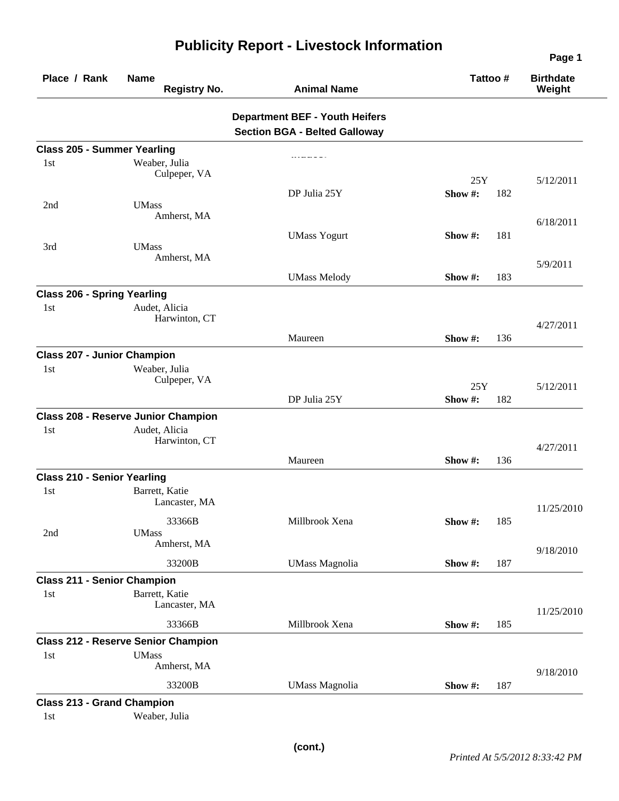| Place / Rank                              | <b>Name</b><br><b>Registry No.</b>         | <b>Animal Name</b>                                                            | Tattoo#            |     | <b>Birthdate</b><br>Weight |
|-------------------------------------------|--------------------------------------------|-------------------------------------------------------------------------------|--------------------|-----|----------------------------|
|                                           |                                            | <b>Department BEF - Youth Heifers</b><br><b>Section BGA - Belted Galloway</b> |                    |     |                            |
| <b>Class 205 - Summer Yearling</b>        |                                            |                                                                               |                    |     |                            |
| 1st                                       | Weaber, Julia<br>Culpeper, VA              |                                                                               | 25Y                |     | 5/12/2011                  |
|                                           |                                            | DP Julia 25Y                                                                  | Show#:             | 182 |                            |
| 2nd                                       | <b>UMass</b><br>Amherst, MA                |                                                                               |                    |     | 6/18/2011                  |
| 3rd                                       | <b>UMass</b>                               | <b>UMass Yogurt</b>                                                           | Show $#$ :         | 181 |                            |
|                                           | Amherst, MA                                |                                                                               |                    |     | 5/9/2011                   |
|                                           |                                            | <b>UMass Melody</b>                                                           | Show #:            | 183 |                            |
| <b>Class 206 - Spring Yearling</b><br>1st | Audet, Alicia<br>Harwinton, CT             |                                                                               |                    |     |                            |
|                                           |                                            | Maureen                                                                       | Show#:             | 136 | 4/27/2011                  |
| <b>Class 207 - Junior Champion</b>        |                                            |                                                                               |                    |     |                            |
| 1 <sub>st</sub>                           | Weaber, Julia<br>Culpeper, VA              |                                                                               | 25Y                |     | 5/12/2011                  |
|                                           |                                            | DP Julia 25Y                                                                  | Show#:             | 182 |                            |
|                                           | <b>Class 208 - Reserve Junior Champion</b> |                                                                               |                    |     |                            |
| 1st                                       | Audet, Alicia<br>Harwinton, CT             |                                                                               |                    |     | 4/27/2011                  |
|                                           |                                            | Maureen                                                                       | Show #:            | 136 |                            |
| <b>Class 210 - Senior Yearling</b>        |                                            |                                                                               |                    |     |                            |
| 1 <sub>st</sub>                           | Barrett, Katie<br>Lancaster, MA            |                                                                               |                    |     | 11/25/2010                 |
| 2nd                                       | 33366B<br><b>UMass</b>                     | Millbrook Xena                                                                | <b>Show #:</b> 185 |     |                            |
|                                           | Amherst, MA<br>33200B                      | <b>UMass Magnolia</b>                                                         | Show #:            | 187 | 9/18/2010                  |
| <b>Class 211 - Senior Champion</b>        |                                            |                                                                               |                    |     |                            |
| 1st                                       | Barrett, Katie<br>Lancaster, MA            |                                                                               |                    |     | 11/25/2010                 |
|                                           | 33366B                                     | Millbrook Xena                                                                | Show #:            | 185 |                            |
|                                           | <b>Class 212 - Reserve Senior Champion</b> |                                                                               |                    |     |                            |
| 1st                                       | <b>UMass</b><br>Amherst, MA                |                                                                               |                    |     | 9/18/2010                  |
|                                           | 33200B                                     | <b>UMass Magnolia</b>                                                         | Show #:            | 187 |                            |
| <b>Class 213 - Grand Champion</b>         |                                            |                                                                               |                    |     |                            |
| 1st                                       | Weaber, Julia                              |                                                                               |                    |     |                            |

## **Publicity Report - Livestock Information**

**Page 1**